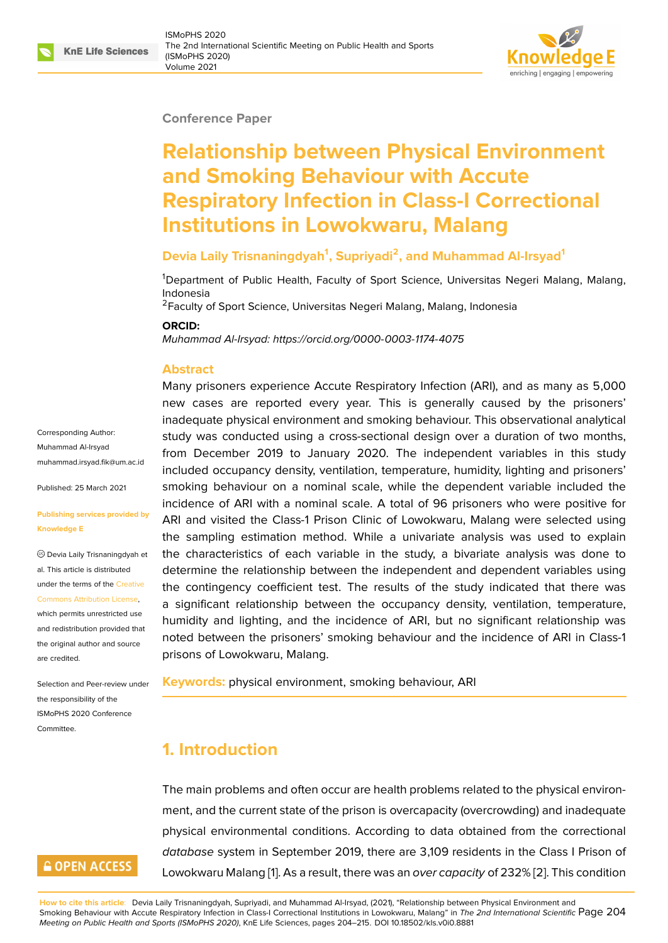#### **Conference Paper**

# **Relationship between Physical Environment and Smoking Behaviour with Accute Respiratory Infection in Class-I Correctional Institutions in Lowokwaru, Malang**

### **Devia Laily Trisnaningdyah<sup>1</sup> , Supriyadi<sup>2</sup> , and Muhammad Al-Irsyad<sup>1</sup>**

<sup>1</sup>Department of Public Health, Faculty of Sport Science, Universitas Negeri Malang, Malang, Indonesia

<sup>2</sup>Faculty of Sport Science, Universitas Negeri Malang, Malang, Indonesia

#### **ORCID:**

*Muhammad Al-Irsyad: https://orcid.org/0000-0003-1174-4075*

#### **Abstract**

Many prisoners experience Accute Respiratory Infection (ARI), and as many as 5,000 new cases are rep[orted every year. This is general](https://orcid.org/0000-0003-1174-4075)ly caused by the prisoners' inadequate physical environment and smoking behaviour. This observational analytical study was conducted using a cross-sectional design over a duration of two months, from December 2019 to January 2020. The independent variables in this study included occupancy density, ventilation, temperature, humidity, lighting and prisoners' smoking behaviour on a nominal scale, while the dependent variable included the incidence of ARI with a nominal scale. A total of 96 prisoners who were positive for ARI and visited the Class-1 Prison Clinic of Lowokwaru, Malang were selected using the sampling estimation method. While a univariate analysis was used to explain the characteristics of each variable in the study, a bivariate analysis was done to determine the relationship between the independent and dependent variables using the contingency coefficient test. The results of the study indicated that there was a significant relationship between the occupancy density, ventilation, temperature, humidity and lighting, and the incidence of ARI, but no significant relationship was noted between the prisoners' smoking behaviour and the incidence of ARI in Class-1 prisons of Lowokwaru, Malang.

**Keywords:** physical environment, smoking behaviour, ARI

# **1. Introduction**

The main problems and often occur are health problems related to the physical environment, and the current state of the prison is overcapacity (overcrowding) and inadequate physical environmental conditions. According to data obtained from the correctional *database* system in September 2019, there are 3,109 residents in the Class I Prison of Lowokwaru Malang [1]. As a result, there was an *over capacity* of 232% [2]. This condition

**How to cite this article**: Devia Laily Trisnaningdyah, Supriyadi, and Muhammad Al-Irsyad, (2021), "Relationship between Physical Environment and Smoking Behaviour with Accute Respiratory Infection in Class-I Correctional Institutions in Lowokwaru, Malang" in *The 2nd International Scientific* Page 204 *Meeting on Public Health and Sports (ISMoPHS 2020)*, KnE Lif[e](#page-9-0) Sciences, pages 204–215. DOI 10.18502/kls.v0i0.8881

Corresponding Author: Muhammad Al-Irsyad muhammad.irsyad.fik@um.ac.id

Published: 25 March 2021

#### **[Publishing services provided b](mailto:muhammad.irsyad.fik@um.ac.id)y Knowledge E**

Devia Laily Trisnaningdyah et al. This article is distributed under the terms of the Creative Commons Attribution License,

which permits unrestricted use and redistribution provided that the original author and [source](https://creativecommons.org/licenses/by/4.0/) [are credited.](https://creativecommons.org/licenses/by/4.0/)

Selection and Peer-review under the responsibility of the ISMoPHS 2020 Conference Committee.

# **GOPEN ACCESS**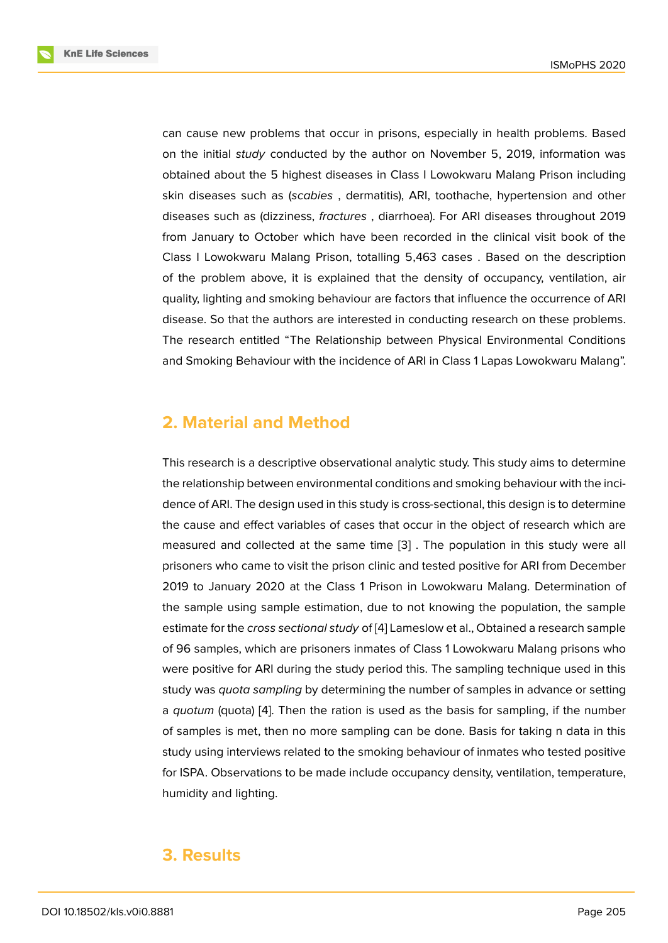can cause new problems that occur in prisons, especially in health problems. Based on the initial *study* conducted by the author on November 5, 2019, information was obtained about the 5 highest diseases in Class I Lowokwaru Malang Prison including skin diseases such as (*scabies* , dermatitis), ARI, toothache, hypertension and other diseases such as (dizziness, *fractures* , diarrhoea). For ARI diseases throughout 2019 from January to October which have been recorded in the clinical visit book of the Class I Lowokwaru Malang Prison, totalling 5,463 cases . Based on the description of the problem above, it is explained that the density of occupancy, ventilation, air quality, lighting and smoking behaviour are factors that influence the occurrence of ARI disease. So that the authors are interested in conducting research on these problems. The research entitled "The Relationship between Physical Environmental Conditions and Smoking Behaviour with the incidence of ARI in Class 1 Lapas Lowokwaru Malang".

# **2. Material and Method**

This research is a descriptive observational analytic study. This study aims to determine the relationship between environmental conditions and smoking behaviour with the incidence of ARI. The design used in this study is cross-sectional, this design is to determine the cause and effect variables of cases that occur in the object of research which are measured and collected at the same time [3] . The population in this study were all prisoners who came to visit the prison clinic and tested positive for ARI from December 2019 to January 2020 at the Class 1 Prison in Lowokwaru Malang. Determination of the sample using sample estimation, due t[o n](#page-9-1)ot knowing the population, the sample estimate for the *cross sectional study* of [4] Lameslow et al., Obtained a research sample of 96 samples, which are prisoners inmates of Class 1 Lowokwaru Malang prisons who were positive for ARI during the study period this. The sampling technique used in this study was *quota sampling* by determini[ng](#page-9-2) the number of samples in advance or setting a *quotum* (quota) [4]. Then the ration is used as the basis for sampling, if the number of samples is met, then no more sampling can be done. Basis for taking n data in this study using interviews related to the smoking behaviour of inmates who tested positive for ISPA. Observat[io](#page-9-2)ns to be made include occupancy density, ventilation, temperature, humidity and lighting.

# **3. Results**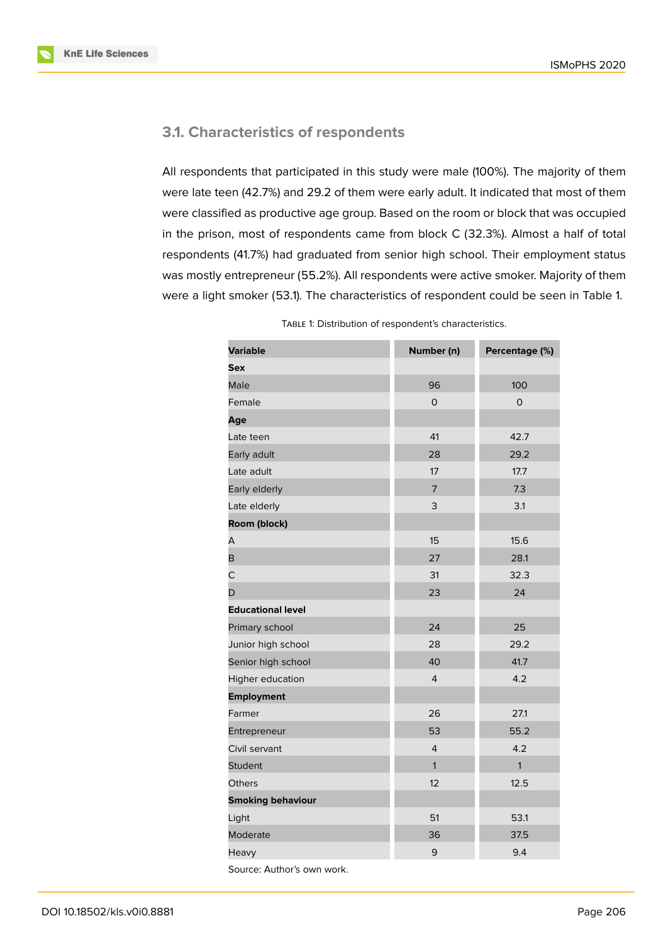

### **3.1. Characteristics of respondents**

All respondents that participated in this study were male (100%). The majority of them were late teen (42.7%) and 29.2 of them were early adult. It indicated that most of them were classified as productive age group. Based on the room or block that was occupied in the prison, most of respondents came from block C (32.3%). Almost a half of total respondents (41.7%) had graduated from senior high school. Their employment status was mostly entrepreneur (55.2%). All respondents were active smoker. Majority of them were a light smoker (53.1). The characteristics of respondent could be seen in Table 1.

| <b>Variable</b>          | Number (n)     | Percentage (%)      |  |  |
|--------------------------|----------------|---------------------|--|--|
| Sex                      |                |                     |  |  |
| Male                     | 96             | 100                 |  |  |
| Female                   | $\circ$        | $\mathsf{O}\xspace$ |  |  |
| Age                      |                |                     |  |  |
| Late teen                | 41             | 42.7                |  |  |
| Early adult              | 28             | 29.2                |  |  |
| Late adult               | 17             | 17.7                |  |  |
| Early elderly            | $\overline{7}$ | 7.3                 |  |  |
| Late elderly             | 3              | 3.1                 |  |  |
| Room (block)             |                |                     |  |  |
| А                        | 15             | 15.6                |  |  |
| B                        | 27             | 28.1                |  |  |
| С                        | 31             | 32.3                |  |  |
| D                        | 23             | 24                  |  |  |
| <b>Educational level</b> |                |                     |  |  |
| Primary school           | 24             | 25                  |  |  |
| Junior high school       | 28             | 29.2                |  |  |
| Senior high school       | 40             | 41.7                |  |  |
| Higher education         | $\overline{4}$ | 4.2                 |  |  |
| <b>Employment</b>        |                |                     |  |  |
| Farmer                   | 26             | 27.1                |  |  |
| Entrepreneur             | 53             | 55.2                |  |  |
| Civil servant            | $\overline{4}$ | 4.2                 |  |  |
| <b>Student</b>           | 1              | $\mathbf{1}$        |  |  |
| Others                   | 12             | 12.5                |  |  |
| <b>Smoking behaviour</b> |                |                     |  |  |
| Light                    | 51             | 53.1                |  |  |
| Moderate                 | 36             | 37.5                |  |  |
| Heavy                    | 9              | 9.4                 |  |  |

TABLE 1: Distribution of respondent's characteristics.

Source: Author's own work.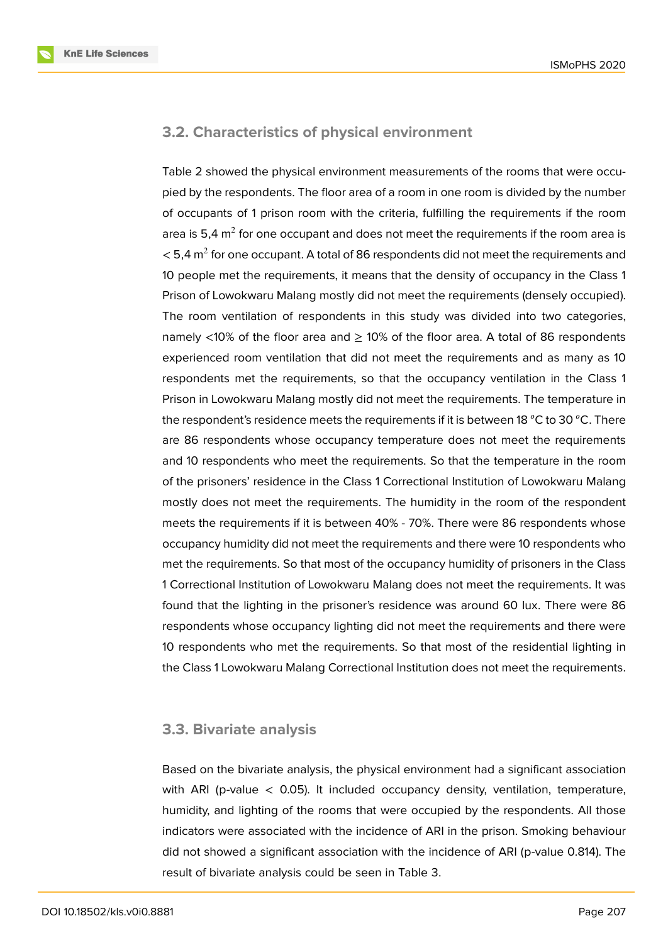

#### **3.2. Characteristics of physical environment**

Table 2 showed the physical environment measurements of the rooms that were occupied by the respondents. The floor area of a room in one room is divided by the number of occupants of 1 prison room with the criteria, fulfilling the requirements if the room area is 5,4 m $^2$  for one occupant and does not meet the requirements if the room area is  $<$  5,4 m $^2$  for one occupant. A total of 86 respondents did not meet the requirements and 10 people met the requirements, it means that the density of occupancy in the Class 1 Prison of Lowokwaru Malang mostly did not meet the requirements (densely occupied). The room ventilation of respondents in this study was divided into two categories, namely <10% of the floor area and  $\geq$  10% of the floor area. A total of 86 respondents experienced room ventilation that did not meet the requirements and as many as 10 respondents met the requirements, so that the occupancy ventilation in the Class 1 Prison in Lowokwaru Malang mostly did not meet the requirements. The temperature in the respondent's residence meets the requirements if it is between 18  $^{\circ}$ C to 30  $^{\circ}$ C. There are 86 respondents whose occupancy temperature does not meet the requirements and 10 respondents who meet the requirements. So that the temperature in the room of the prisoners' residence in the Class 1 Correctional Institution of Lowokwaru Malang mostly does not meet the requirements. The humidity in the room of the respondent meets the requirements if it is between 40% - 70%. There were 86 respondents whose occupancy humidity did not meet the requirements and there were 10 respondents who met the requirements. So that most of the occupancy humidity of prisoners in the Class 1 Correctional Institution of Lowokwaru Malang does not meet the requirements. It was found that the lighting in the prisoner's residence was around 60 lux. There were 86 respondents whose occupancy lighting did not meet the requirements and there were 10 respondents who met the requirements. So that most of the residential lighting in the Class 1 Lowokwaru Malang Correctional Institution does not meet the requirements.

#### **3.3. Bivariate analysis**

Based on the bivariate analysis, the physical environment had a significant association with ARI (p-value  $<$  0.05). It included occupancy density, ventilation, temperature, humidity, and lighting of the rooms that were occupied by the respondents. All those indicators were associated with the incidence of ARI in the prison. Smoking behaviour did not showed a significant association with the incidence of ARI (p-value 0.814). The result of bivariate analysis could be seen in Table 3.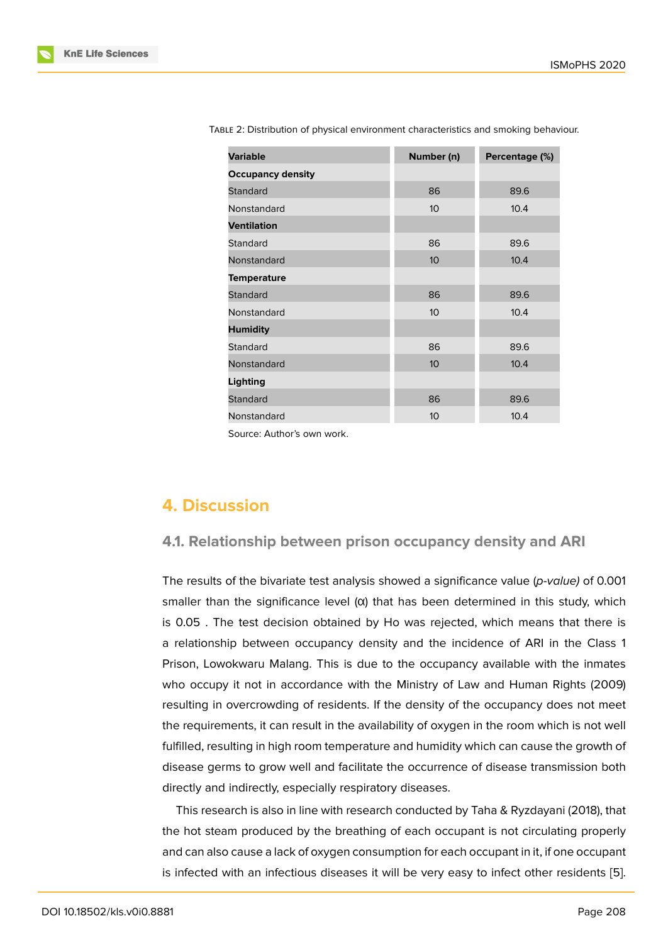| <b>Variable</b>          | Number (n)      | Percentage (%) |
|--------------------------|-----------------|----------------|
| <b>Occupancy density</b> |                 |                |
| Standard                 | 86              | 89.6           |
| Nonstandard              | 10 <sup>°</sup> | 10.4           |
| <b>Ventilation</b>       |                 |                |
| <b>Standard</b>          | 86              | 89.6           |
| Nonstandard              | 10 <sup>°</sup> | 10.4           |
| <b>Temperature</b>       |                 |                |
| <b>Standard</b>          | 86              | 89.6           |
| Nonstandard              | 10 <sup>1</sup> | 10.4           |
| <b>Humidity</b>          |                 |                |
| <b>Standard</b>          | 86              | 89.6           |
| Nonstandard              | 10 <sup>°</sup> | 10.4           |
| <b>Lighting</b>          |                 |                |
| <b>Standard</b>          | 86              | 89.6           |
| Nonstandard              | 10 <sup>°</sup> | 10.4           |

TABLE 2: Distribution of physical environment characteristics and smoking behaviour.

Source: Author's own work.

# **4. Discussion**

#### **4.1. Relationship between prison occupancy density and ARI**

The results of the bivariate test analysis showed a significance value (*p-value)* of 0.001 smaller than the significance level  $(\alpha)$  that has been determined in this study, which is 0.05 . The test decision obtained by Ho was rejected, which means that there is a relationship between occupancy density and the incidence of ARI in the Class 1 Prison, Lowokwaru Malang. This is due to the occupancy available with the inmates who occupy it not in accordance with the Ministry of Law and Human Rights (2009) resulting in overcrowding of residents. If the density of the occupancy does not meet the requirements, it can result in the availability of oxygen in the room which is not well fulfilled, resulting in high room temperature and humidity which can cause the growth of disease germs to grow well and facilitate the occurrence of disease transmission both directly and indirectly, especially respiratory diseases.

This research is also in line with research conducted by Taha & Ryzdayani (2018), that the hot steam produced by the breathing of each occupant is not circulating properly and can also cause a lack of oxygen consumption for each occupant in it, if one occupant is infected with an infectious diseases it will be very easy to infect other residents [5].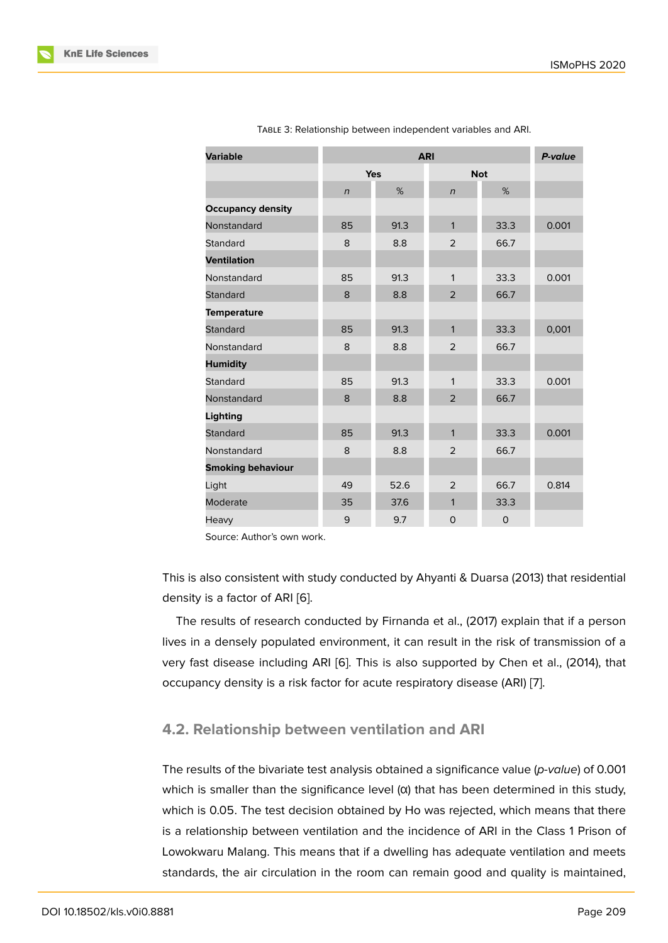| <b>Variable</b>          |                | P-value |                |      |       |
|--------------------------|----------------|---------|----------------|------|-------|
|                          | <b>Yes</b>     |         | <b>Not</b>     |      |       |
|                          | $\overline{n}$ | %       | $\overline{n}$ | %    |       |
| <b>Occupancy density</b> |                |         |                |      |       |
| Nonstandard              | 85             | 91.3    | $\mathbf{1}$   | 33.3 | 0.001 |
| Standard                 | 8              | 8.8     | $\overline{2}$ | 66.7 |       |
| <b>Ventilation</b>       |                |         |                |      |       |
| Nonstandard              | 85             | 91.3    | $\mathbf{1}$   | 33.3 | 0.001 |
| <b>Standard</b>          | 8              | 8.8     | 2              | 66.7 |       |
| <b>Temperature</b>       |                |         |                |      |       |
| <b>Standard</b>          | 85             | 91.3    | $\mathbf{1}$   | 33.3 | 0,001 |
| Nonstandard              | 8              | 8.8     | $\overline{2}$ | 66.7 |       |
| <b>Humidity</b>          |                |         |                |      |       |
| Standard                 | 85             | 91.3    | 1              | 33.3 | 0.001 |
| Nonstandard              | 8              | 8.8     | 2              | 66.7 |       |
| Lighting                 |                |         |                |      |       |
| <b>Standard</b>          | 85             | 91.3    | $\mathbf{1}$   | 33.3 | 0.001 |
| Nonstandard              | 8              | 8.8     | 2              | 66.7 |       |
| <b>Smoking behaviour</b> |                |         |                |      |       |
| Light                    | 49             | 52.6    | $\overline{2}$ | 66.7 | 0.814 |
| Moderate                 | 35             | 37.6    | $\mathbf{1}$   | 33.3 |       |
| Heavy                    | 9              | 9.7     | 0              | 0    |       |

TABLE 3: Relationship between independent variables and ARI.

Source: Author's own work.

This is also consistent with study conducted by Ahyanti & Duarsa (2013) that residential density is a factor of ARI [6].

The results of research conducted by Firnanda et al., (2017) explain that if a person lives in a densely populated environment, it can result in the risk of transmission of a very fast disease includi[ng](#page-9-3) ARI [6]. This is also supported by Chen et al., (2014), that occupancy density is a risk factor for acute respiratory disease (ARI) [7].

# **4.2. Relationship betwee[n](#page-9-3) ventilation and ARI**

The results of the bivariate test analysis obtained a significance value (*p-value*) of 0.001 which is smaller than the significance level  $(α)$  that has been determined in this study, which is 0.05. The test decision obtained by Ho was rejected, which means that there is a relationship between ventilation and the incidence of ARI in the Class 1 Prison of Lowokwaru Malang. This means that if a dwelling has adequate ventilation and meets standards, the air circulation in the room can remain good and quality is maintained,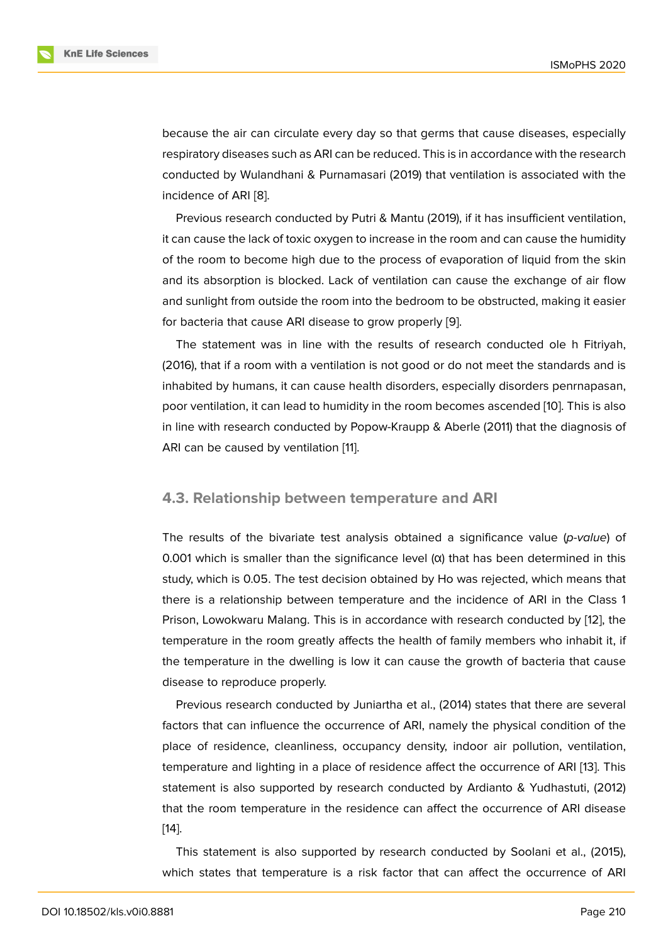because the air can circulate every day so that germs that cause diseases, especially respiratory diseases such as ARI can be reduced. This is in accordance with the research conducted by Wulandhani & Purnamasari (2019) that ventilation is associated with the incidence of ARI [8].

Previous research conducted by Putri & Mantu (2019), if it has insufficient ventilation, it can cause the lack of toxic oxygen to increase in the room and can cause the humidity of the room to b[ec](#page-9-4)ome high due to the process of evaporation of liquid from the skin and its absorption is blocked. Lack of ventilation can cause the exchange of air flow and sunlight from outside the room into the bedroom to be obstructed, making it easier for bacteria that cause ARI disease to grow properly [9].

The statement was in line with the results of research conducted ole h Fitriyah, (2016), that if a room with a ventilation is not good or do not meet the standards and is inhabited by humans, it can cause health disorders, [esp](#page-9-5)ecially disorders penrnapasan, poor ventilation, it can lead to humidity in the room becomes ascended [10]. This is also in line with research conducted by Popow-Kraupp & Aberle (2011) that the diagnosis of ARI can be caused by ventilation [11].

#### **4.3. Relationship betwee[n t](#page-10-0)emperature and ARI**

The results of the bivariate test analysis obtained a significance value (*p-value*) of 0.001 which is smaller than the significance level (α) that has been determined in this study, which is 0.05. The test decision obtained by Ho was rejected, which means that there is a relationship between temperature and the incidence of ARI in the Class 1 Prison, Lowokwaru Malang. This is in accordance with research conducted by [12], the temperature in the room greatly affects the health of family members who inhabit it, if the temperature in the dwelling is low it can cause the growth of bacteria that cause disease to reproduce properly.

Previous research conducted by Juniartha et al., (2014) states that there are several factors that can influence the occurrence of ARI, namely the physical condition of the place of residence, cleanliness, occupancy density, indoor air pollution, ventilation, temperature and lighting in a place of residence affect the occurrence of ARI [13]. This statement is also supported by research conducted by Ardianto & Yudhastuti, (2012) that the room temperature in the residence can affect the occurrence of ARI disease [14].

This statement is also supported by research conducted by Soolani et al., (2015), [wh](#page-10-1)ich states that temperature is a risk factor that can affect the occurrence of ARI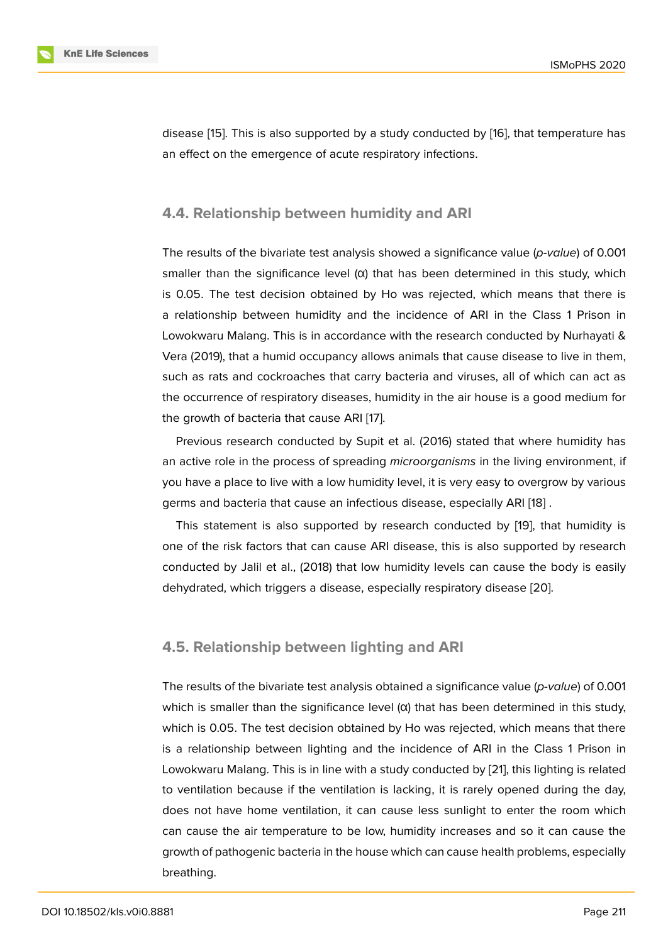disease [15]. This is also supported by a study conducted by [16], that temperature has an effect on the emergence of acute respiratory infections.

### **4.4. Relationship between humidity and ARI**

The results of the bivariate test analysis showed a significance value (*p-value*) of 0.001 smaller than the significance level  $(α)$  that has been determined in this study, which is 0.05. The test decision obtained by Ho was rejected, which means that there is a relationship between humidity and the incidence of ARI in the Class 1 Prison in Lowokwaru Malang. This is in accordance with the research conducted by Nurhayati & Vera (2019), that a humid occupancy allows animals that cause disease to live in them, such as rats and cockroaches that carry bacteria and viruses, all of which can act as the occurrence of respiratory diseases, humidity in the air house is a good medium for the growth of bacteria that cause ARI [17].

Previous research conducted by Supit et al. (2016) stated that where humidity has an active role in the process of spreading *microorganisms* in the living environment, if you have a place to live with a low hu[mid](#page-10-2)ity level, it is very easy to overgrow by various germs and bacteria that cause an infectious disease, especially ARI [18] .

This statement is also supported by research conducted by [19], that humidity is one of the risk factors that can cause ARI disease, this is also supported by research conducted by Jalil et al., (2018) that low humidity levels can cause [the](#page-10-3) body is easily dehydrated, which triggers a disease, especially respiratory disea[se](#page-10-4) [20].

### **4.5. Relationship between lighting and ARI**

The results of the bivariate test analysis obtained a significance value (*p-value*) of 0.001 which is smaller than the significance level  $(\alpha)$  that has been determined in this study, which is 0.05. The test decision obtained by Ho was rejected, which means that there is a relationship between lighting and the incidence of ARI in the Class 1 Prison in Lowokwaru Malang. This is in line with a study conducted by [21], this lighting is related to ventilation because if the ventilation is lacking, it is rarely opened during the day, does not have home ventilation, it can cause less sunlight to enter the room which can cause the air temperature to be low, humidity increases [an](#page-11-0)d so it can cause the growth of pathogenic bacteria in the house which can cause health problems, especially breathing.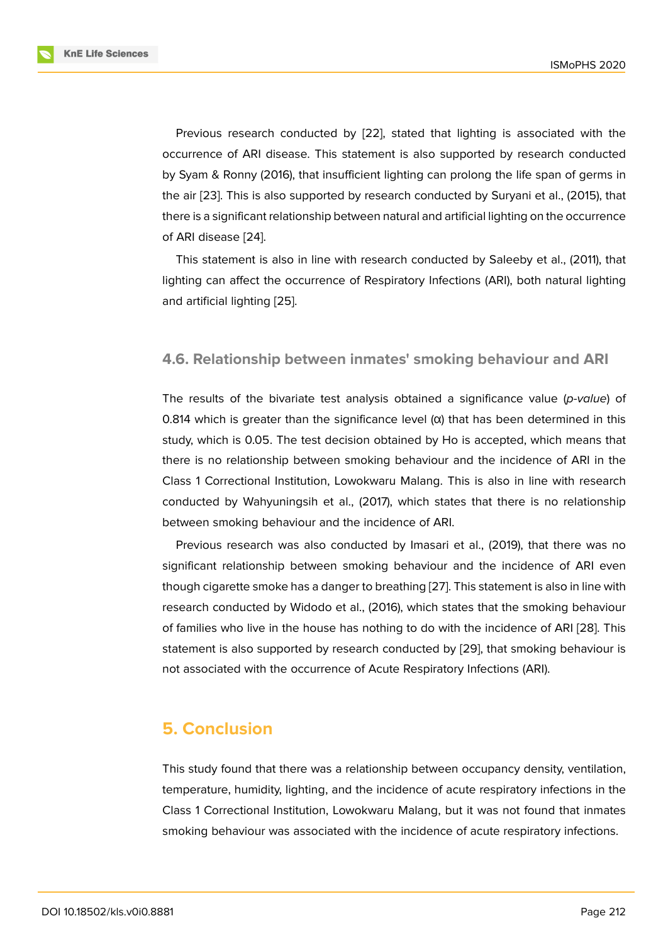Previous research conducted by [22], stated that lighting is associated with the occurrence of ARI disease. This statement is also supported by research conducted by Syam & Ronny (2016), that insufficient lighting can prolong the life span of germs in the air [23]. This is also supported by [res](#page-11-1)earch conducted by Suryani et al., (2015), that there is a significant relationship between natural and artificial lighting on the occurrence of ARI disease [24].

This [sta](#page-11-2)tement is also in line with research conducted by Saleeby et al., (2011), that lighting can affect the occurrence of Respiratory Infections (ARI), both natural lighting and artificial lig[htin](#page-11-3)g [25].

#### **4.6. Relationshi[p b](#page-11-4)etween inmates' smoking behaviour and ARI**

The results of the bivariate test analysis obtained a significance value (*p-value*) of 0.814 which is greater than the significance level (α) that has been determined in this study, which is 0.05. The test decision obtained by Ho is accepted, which means that there is no relationship between smoking behaviour and the incidence of ARI in the Class 1 Correctional Institution, Lowokwaru Malang. This is also in line with research conducted by Wahyuningsih et al., (2017), which states that there is no relationship between smoking behaviour and the incidence of ARI.

Previous research was also conducted by Imasari et al., (2019), that there was no significant relationship between smoking behaviour and the incidence of ARI even though cigarette smoke has a danger to breathing [27]. This statement is also in line with research conducted by Widodo et al., (2016), which states that the smoking behaviour of families who live in the house has nothing to do with the incidence of ARI [28]. This statement is also supported by research conduct[ed b](#page-11-5)y [29], that smoking behaviour is not associated with the occurrence of Acute Respiratory Infections (ARI).

# **5. Conclusion**

This study found that there was a relationship between occupancy density, ventilation, temperature, humidity, lighting, and the incidence of acute respiratory infections in the Class 1 Correctional Institution, Lowokwaru Malang, but it was not found that inmates smoking behaviour was associated with the incidence of acute respiratory infections.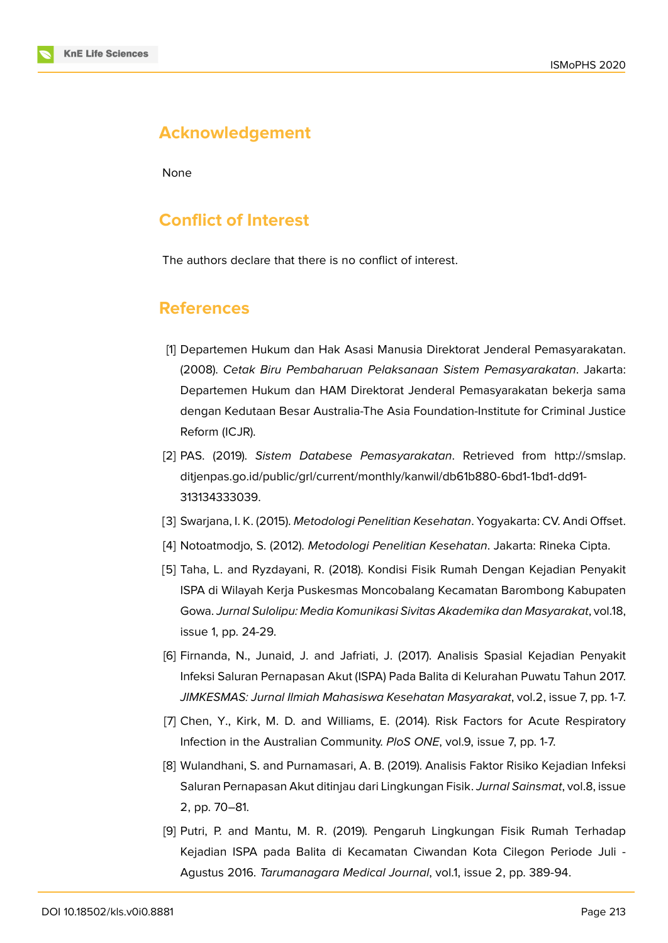# **Acknowledgement**

None

# **Conflict of Interest**

The authors declare that there is no conflict of interest.

# **References**

- <span id="page-9-0"></span>[1] Departemen Hukum dan Hak Asasi Manusia Direktorat Jenderal Pemasyarakatan. (2008). *Cetak Biru Pembaharuan Pelaksanaan Sistem Pemasyarakatan*. Jakarta: Departemen Hukum dan HAM Direktorat Jenderal Pemasyarakatan bekerja sama dengan Kedutaan Besar Australia-The Asia Foundation-Institute for Criminal Justice Reform (ICJR).
- [2] PAS. (2019). *Sistem Databese Pemasyarakatan*. Retrieved from http://smslap. ditjenpas.go.id/public/grl/current/monthly/kanwil/db61b880-6bd1-1bd1-dd91- 313134333039.
- [3] Swarjana, I. K. (2015). *[Metodologi Penelitian Kesehatan](http://smslap.ditjenpas.go.id/public/grl/current/monthly/kanwil/db61b880-6bd1-1bd1-dd91-313134333039)*. Yogyakarta: C[V. Andi Offset.](http://smslap.ditjenpas.go.id/public/grl/current/monthly/kanwil/db61b880-6bd1-1bd1-dd91-313134333039)
- [4] [Notoatmodjo, S](http://smslap.ditjenpas.go.id/public/grl/current/monthly/kanwil/db61b880-6bd1-1bd1-dd91-313134333039). (2012). *Metodologi Penelitian Kesehatan*. Jakarta: Rineka Cipta.
- <span id="page-9-2"></span><span id="page-9-1"></span>[5] Taha, L. and Ryzdayani, R. (2018). Kondisi Fisik Rumah Dengan Kejadian Penyakit ISPA di Wilayah Kerja Puskesmas Moncobalang Kecamatan Barombong Kabupaten Gowa. *Jurnal Sulolipu: Media Komunikasi Sivitas Akademika dan Masyarakat*, vol.18, issue 1, pp. 24-29.
- [6] Firnanda, N., Junaid, J. and Jafriati, J. (2017). Analisis Spasial Kejadian Penyakit Infeksi Saluran Pernapasan Akut (ISPA) Pada Balita di Kelurahan Puwatu Tahun 2017. *JIMKESMAS: Jurnal Ilmiah Mahasiswa Kesehatan Masyarakat*, vol.2, issue 7, pp. 1-7.
- <span id="page-9-3"></span>[7] Chen, Y., Kirk, M. D. and Williams, E. (2014). Risk Factors for Acute Respiratory Infection in the Australian Community. *PloS ONE*, vol.9, issue 7, pp. 1-7.
- [8] Wulandhani, S. and Purnamasari, A. B. (2019). Analisis Faktor Risiko Kejadian Infeksi Saluran Pernapasan Akut ditinjau dari Lingkungan Fisik. *Jurnal Sainsmat*, vol.8, issue 2, pp. 70–81.
- <span id="page-9-5"></span><span id="page-9-4"></span>[9] Putri, P. and Mantu, M. R. (2019). Pengaruh Lingkungan Fisik Rumah Terhadap Kejadian ISPA pada Balita di Kecamatan Ciwandan Kota Cilegon Periode Juli - Agustus 2016. *Tarumanagara Medical Journal*, vol.1, issue 2, pp. 389-94.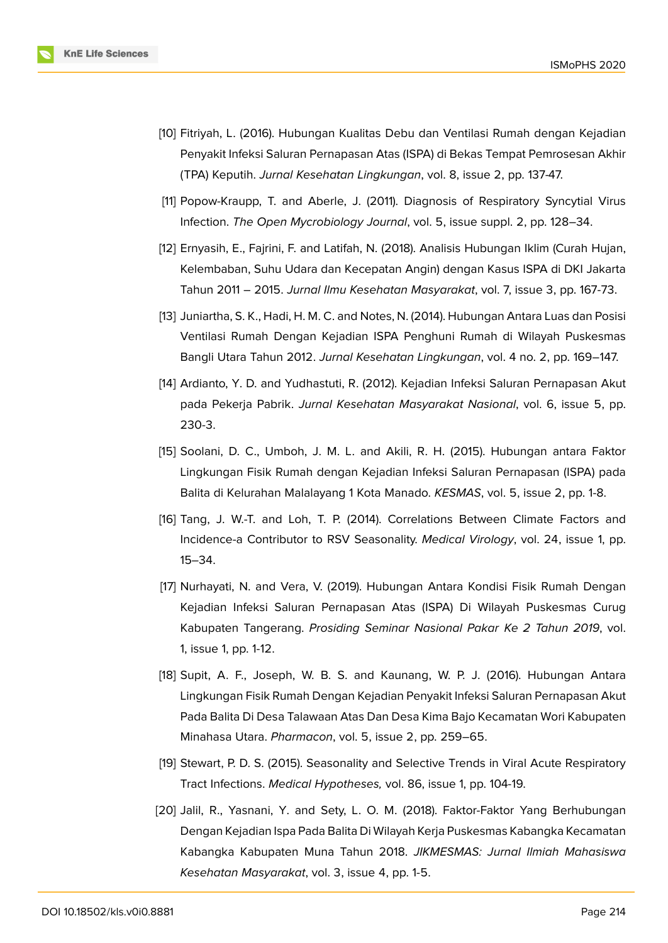

- [10] Fitriyah, L. (2016). Hubungan Kualitas Debu dan Ventilasi Rumah dengan Kejadian Penyakit Infeksi Saluran Pernapasan Atas (ISPA) di Bekas Tempat Pemrosesan Akhir (TPA) Keputih. *Jurnal Kesehatan Lingkungan*, vol. 8, issue 2, pp. 137-47.
- <span id="page-10-0"></span>[11] Popow-Kraupp, T. and Aberle, J. (2011). Diagnosis of Respiratory Syncytial Virus Infection. *The Open Mycrobiology Journal*, vol. 5, issue suppl. 2, pp. 128–34.
- [12] Ernyasih, E., Fajrini, F. and Latifah, N. (2018). Analisis Hubungan Iklim (Curah Hujan, Kelembaban, Suhu Udara dan Kecepatan Angin) dengan Kasus ISPA di DKI Jakarta Tahun 2011 – 2015. *Jurnal Ilmu Kesehatan Masyarakat*, vol. 7, issue 3, pp. 167-73.
- [13] Juniartha, S. K., Hadi, H. M. C. and Notes, N. (2014). Hubungan Antara Luas dan Posisi Ventilasi Rumah Dengan Kejadian ISPA Penghuni Rumah di Wilayah Puskesmas Bangli Utara Tahun 2012. *Jurnal Kesehatan Lingkungan*, vol. 4 no. 2, pp. 169–147.
- <span id="page-10-1"></span>[14] Ardianto, Y. D. and Yudhastuti, R. (2012). Kejadian Infeksi Saluran Pernapasan Akut pada Pekerja Pabrik. *Jurnal Kesehatan Masyarakat Nasional*, vol. 6, issue 5, pp. 230-3.
- [15] Soolani, D. C., Umboh, J. M. L. and Akili, R. H. (2015). Hubungan antara Faktor Lingkungan Fisik Rumah dengan Kejadian Infeksi Saluran Pernapasan (ISPA) pada Balita di Kelurahan Malalayang 1 Kota Manado. *KESMAS*, vol. 5, issue 2, pp. 1-8.
- [16] Tang, J. W.-T. and Loh, T. P. (2014). Correlations Between Climate Factors and Incidence-a Contributor to RSV Seasonality. *Medical Virology*, vol. 24, issue 1, pp. 15–34.
- <span id="page-10-2"></span>[17] Nurhayati, N. and Vera, V. (2019). Hubungan Antara Kondisi Fisik Rumah Dengan Kejadian Infeksi Saluran Pernapasan Atas (ISPA) Di Wilayah Puskesmas Curug Kabupaten Tangerang. *Prosiding Seminar Nasional Pakar Ke 2 Tahun 2019*, vol. 1, issue 1, pp. 1-12.
- <span id="page-10-3"></span>[18] Supit, A. F., Joseph, W. B. S. and Kaunang, W. P. J. (2016). Hubungan Antara Lingkungan Fisik Rumah Dengan Kejadian Penyakit Infeksi Saluran Pernapasan Akut Pada Balita Di Desa Talawaan Atas Dan Desa Kima Bajo Kecamatan Wori Kabupaten Minahasa Utara. *Pharmacon*, vol. 5, issue 2, pp. 259–65.
- <span id="page-10-4"></span>[19] Stewart, P. D. S. (2015). Seasonality and Selective Trends in Viral Acute Respiratory Tract Infections. *Medical Hypotheses,* vol. 86, issue 1, pp. 104-19.
- [20] Jalil, R., Yasnani, Y. and Sety, L. O. M. (2018). Faktor-Faktor Yang Berhubungan Dengan Kejadian Ispa Pada Balita Di Wilayah Kerja Puskesmas Kabangka Kecamatan Kabangka Kabupaten Muna Tahun 2018. *JIKMESMAS: Jurnal Ilmiah Mahasiswa Kesehatan Masyarakat*, vol. 3, issue 4, pp. 1-5.